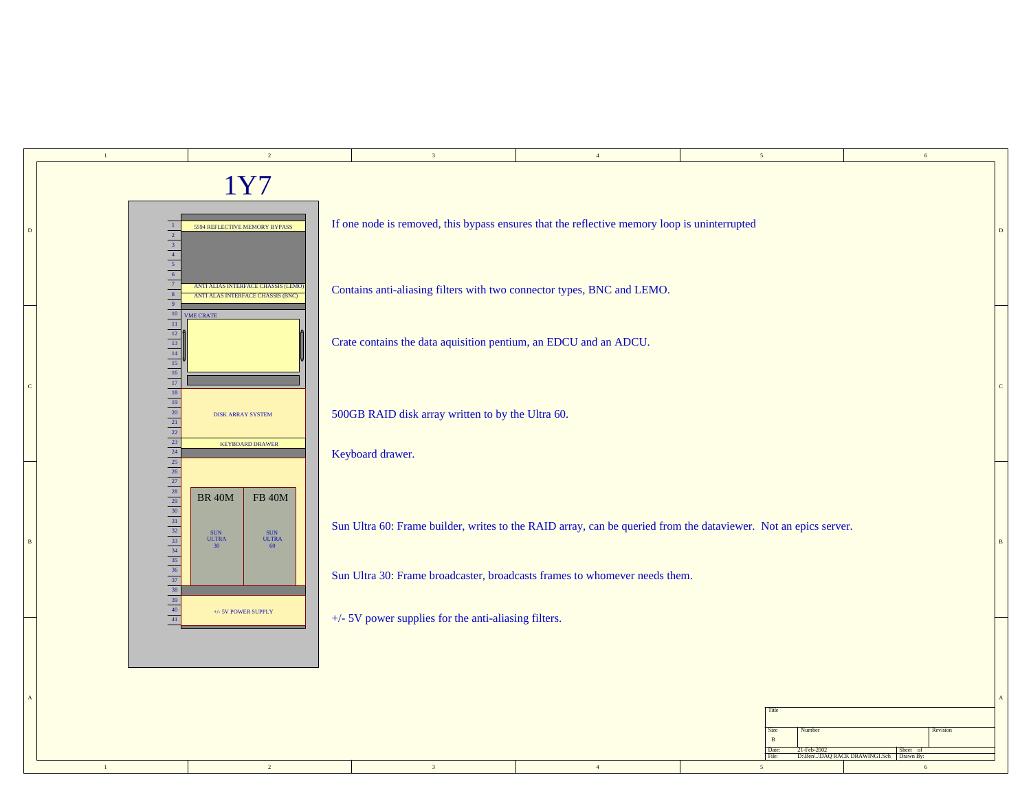|                | $\,1\,$                                                                                                                          | $\sqrt{2}$                                                                                                                    | 3                                                                      | $4\,$                                                                                                           | $5\overline{ }$                         | $\sqrt{6}$                                          |  |
|----------------|----------------------------------------------------------------------------------------------------------------------------------|-------------------------------------------------------------------------------------------------------------------------------|------------------------------------------------------------------------|-----------------------------------------------------------------------------------------------------------------|-----------------------------------------|-----------------------------------------------------|--|
|                |                                                                                                                                  | 1Y7                                                                                                                           |                                                                        |                                                                                                                 |                                         |                                                     |  |
| D              | $\mid$ 1 $\mid$<br>$\begin{array}{c c}\n\hline\n2 \\ \hline\n3 \\ \hline\n4 \\ \hline\n5 \\ \hline\n6 \\ \hline\n7\n\end{array}$ | If one node is removed, this bypass ensures that the reflective memory loop is uninterrupted<br>5594 REFLECTIVE MEMORY BYPASS |                                                                        |                                                                                                                 |                                         |                                                     |  |
|                |                                                                                                                                  | ANTI ALIAS INTERFACE CHASSIS (LEMO<br>ANTI ALAS INTERFACE CHASSIS (BNC)                                                       | Contains anti-aliasing filters with two connector types, BNC and LEMO. |                                                                                                                 |                                         |                                                     |  |
|                |                                                                                                                                  | <b>VME CRATE</b>                                                                                                              | Crate contains the data aquisition pentium, an EDCU and an ADCU.       |                                                                                                                 |                                         |                                                     |  |
| $\mathbf C$    |                                                                                                                                  | <b>DISK ARRAY SYSTEM</b>                                                                                                      | 500GB RAID disk array written to by the Ultra 60.                      |                                                                                                                 |                                         |                                                     |  |
|                |                                                                                                                                  | <b>KEYBOARD DRAWER</b>                                                                                                        | Keyboard drawer.                                                       |                                                                                                                 |                                         |                                                     |  |
| $\overline{B}$ |                                                                                                                                  | <b>BR 40M</b><br>${\rm FB}$ 40M<br>SUN<br>ULTRA<br>SUN<br>ULTRA<br>60<br>30                                                   |                                                                        | Sun Ultra 60: Frame builder, writes to the RAID array, can be queried from the dataviewer. Not an epics server. |                                         |                                                     |  |
|                |                                                                                                                                  |                                                                                                                               |                                                                        | Sun Ultra 30: Frame broadcaster, broadcasts frames to whomever needs them.                                      |                                         |                                                     |  |
|                |                                                                                                                                  | +/- 5V POWER SUPPLY                                                                                                           | +/- 5V power supplies for the anti-aliasing filters.                   |                                                                                                                 |                                         |                                                     |  |
|                |                                                                                                                                  |                                                                                                                               |                                                                        |                                                                                                                 |                                         |                                                     |  |
|                |                                                                                                                                  |                                                                                                                               |                                                                        |                                                                                                                 | Title<br>Number<br>Size<br>$\mathbf{B}$ | Revision                                            |  |
|                |                                                                                                                                  |                                                                                                                               |                                                                        |                                                                                                                 | Date:<br>21-Feb-2002<br>File            | Sheet of<br>D:\Ben\\DAQ RACK DRAWING1.Sch Drawn By: |  |
|                | $\,$ $\,$ $\,$                                                                                                                   | $\overline{2}$                                                                                                                | $3 -$                                                                  | $4$ $\,$                                                                                                        | 5                                       | $\sqrt{6}$                                          |  |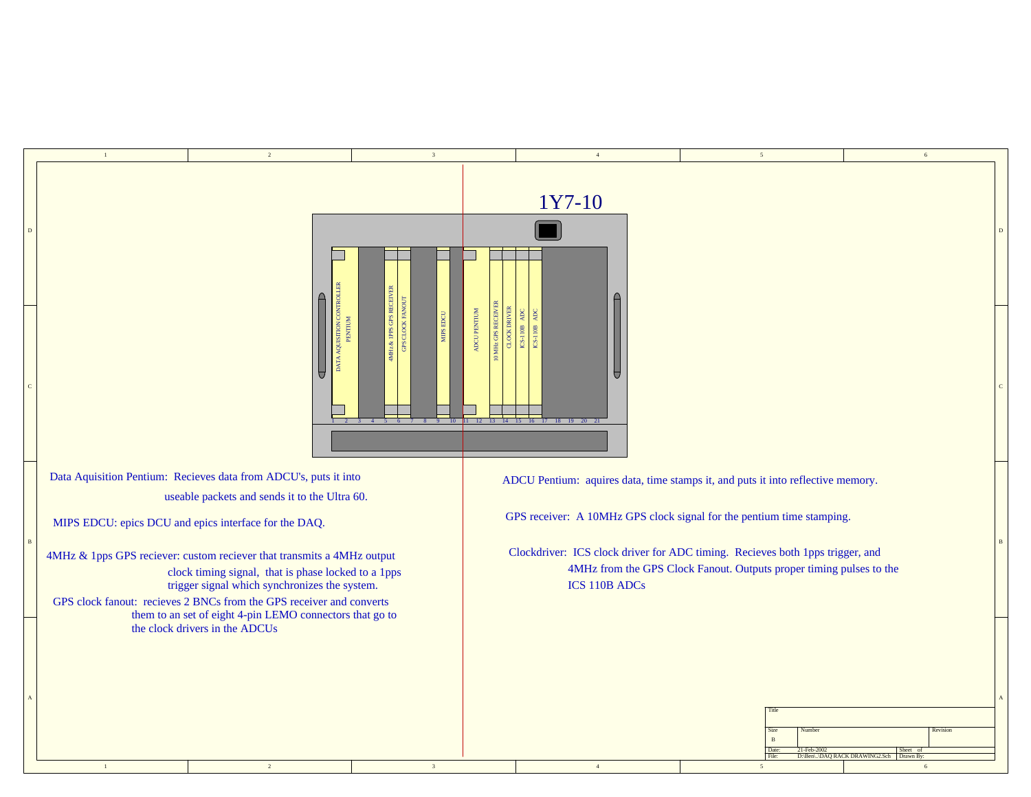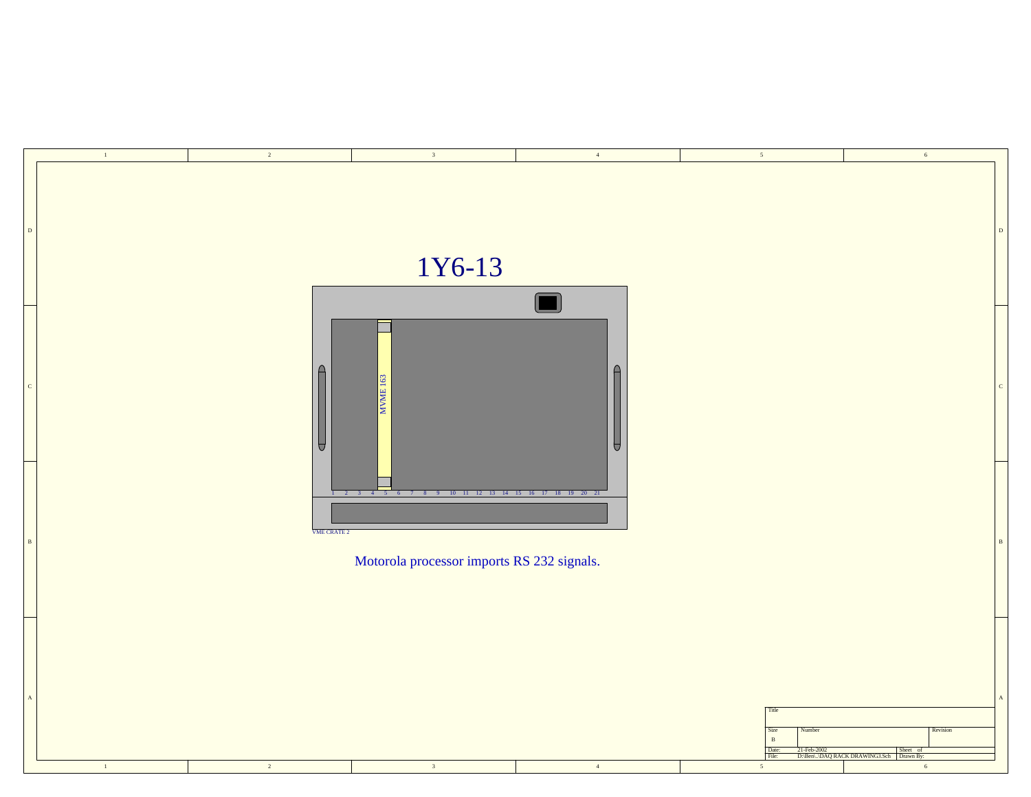